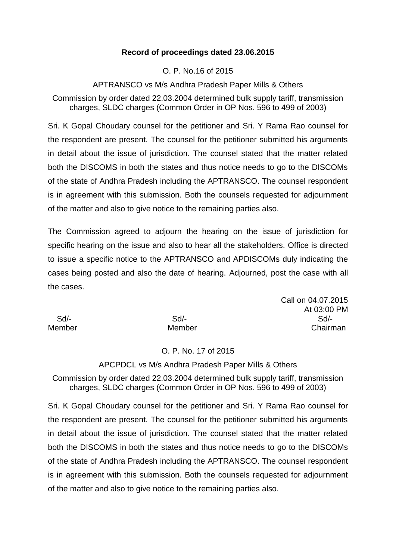## **Record of proceedings dated 23.06.2015**

## O. P. No.16 of 2015

## APTRANSCO vs M/s Andhra Pradesh Paper Mills & Others

Commission by order dated 22.03.2004 determined bulk supply tariff, transmission charges, SLDC charges (Common Order in OP Nos. 596 to 499 of 2003)

Sri. K Gopal Choudary counsel for the petitioner and Sri. Y Rama Rao counsel for the respondent are present. The counsel for the petitioner submitted his arguments in detail about the issue of jurisdiction. The counsel stated that the matter related both the DISCOMS in both the states and thus notice needs to go to the DISCOMs of the state of Andhra Pradesh including the APTRANSCO. The counsel respondent is in agreement with this submission. Both the counsels requested for adjournment of the matter and also to give notice to the remaining parties also.

The Commission agreed to adjourn the hearing on the issue of jurisdiction for specific hearing on the issue and also to hear all the stakeholders. Office is directed to issue a specific notice to the APTRANSCO and APDISCOMs duly indicating the cases being posted and also the date of hearing. Adjourned, post the case with all the cases.

Call on 04.07.2015 At 03:00 PM Sd/- Sd/- Sd/- Member Member Chairman

## O. P. No. 17 of 2015

#### APCPDCL vs M/s Andhra Pradesh Paper Mills & Others

Commission by order dated 22.03.2004 determined bulk supply tariff, transmission charges, SLDC charges (Common Order in OP Nos. 596 to 499 of 2003)

Sri. K Gopal Choudary counsel for the petitioner and Sri. Y Rama Rao counsel for the respondent are present. The counsel for the petitioner submitted his arguments in detail about the issue of jurisdiction. The counsel stated that the matter related both the DISCOMS in both the states and thus notice needs to go to the DISCOMs of the state of Andhra Pradesh including the APTRANSCO. The counsel respondent is in agreement with this submission. Both the counsels requested for adjournment of the matter and also to give notice to the remaining parties also.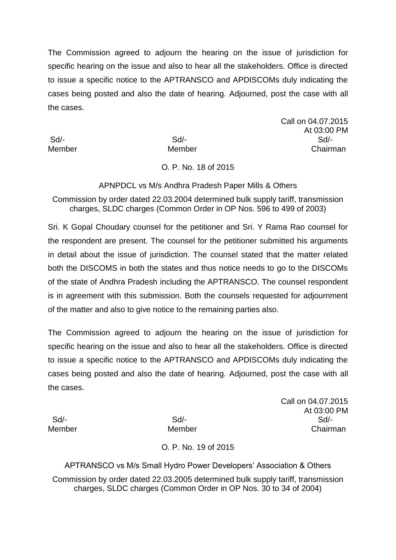The Commission agreed to adjourn the hearing on the issue of jurisdiction for specific hearing on the issue and also to hear all the stakeholders. Office is directed to issue a specific notice to the APTRANSCO and APDISCOMs duly indicating the cases being posted and also the date of hearing. Adjourned, post the case with all the cases.

Call on 04.07.2015 At 03:00 PM Sd/- Sd/- Sd/- Member Member Chairman

## O. P. No. 18 of 2015

APNPDCL vs M/s Andhra Pradesh Paper Mills & Others

Commission by order dated 22.03.2004 determined bulk supply tariff, transmission charges, SLDC charges (Common Order in OP Nos. 596 to 499 of 2003)

Sri. K Gopal Choudary counsel for the petitioner and Sri. Y Rama Rao counsel for the respondent are present. The counsel for the petitioner submitted his arguments in detail about the issue of jurisdiction. The counsel stated that the matter related both the DISCOMS in both the states and thus notice needs to go to the DISCOMs of the state of Andhra Pradesh including the APTRANSCO. The counsel respondent is in agreement with this submission. Both the counsels requested for adjournment of the matter and also to give notice to the remaining parties also.

The Commission agreed to adjourn the hearing on the issue of jurisdiction for specific hearing on the issue and also to hear all the stakeholders. Office is directed to issue a specific notice to the APTRANSCO and APDISCOMs duly indicating the cases being posted and also the date of hearing. Adjourned, post the case with all the cases.

Call on 04.07.2015 At 03:00 PM Sd/- Sd/- Sd/- Member Member Chairman

O. P. No. 19 of 2015

APTRANSCO vs M/s Small Hydro Power Developers' Association & Others Commission by order dated 22.03.2005 determined bulk supply tariff, transmission charges, SLDC charges (Common Order in OP Nos. 30 to 34 of 2004)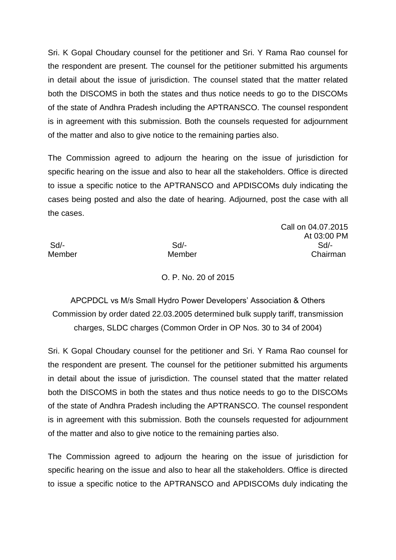Sri. K Gopal Choudary counsel for the petitioner and Sri. Y Rama Rao counsel for the respondent are present. The counsel for the petitioner submitted his arguments in detail about the issue of jurisdiction. The counsel stated that the matter related both the DISCOMS in both the states and thus notice needs to go to the DISCOMs of the state of Andhra Pradesh including the APTRANSCO. The counsel respondent is in agreement with this submission. Both the counsels requested for adjournment of the matter and also to give notice to the remaining parties also.

The Commission agreed to adjourn the hearing on the issue of jurisdiction for specific hearing on the issue and also to hear all the stakeholders. Office is directed to issue a specific notice to the APTRANSCO and APDISCOMs duly indicating the cases being posted and also the date of hearing. Adjourned, post the case with all the cases.

Call on 04.07.2015 At 03:00 PM Sd/- Sd/- Sd/- Member Member Chairman

O. P. No. 20 of 2015

APCPDCL vs M/s Small Hydro Power Developers' Association & Others Commission by order dated 22.03.2005 determined bulk supply tariff, transmission charges, SLDC charges (Common Order in OP Nos. 30 to 34 of 2004)

Sri. K Gopal Choudary counsel for the petitioner and Sri. Y Rama Rao counsel for the respondent are present. The counsel for the petitioner submitted his arguments in detail about the issue of jurisdiction. The counsel stated that the matter related both the DISCOMS in both the states and thus notice needs to go to the DISCOMs of the state of Andhra Pradesh including the APTRANSCO. The counsel respondent is in agreement with this submission. Both the counsels requested for adjournment of the matter and also to give notice to the remaining parties also.

The Commission agreed to adjourn the hearing on the issue of jurisdiction for specific hearing on the issue and also to hear all the stakeholders. Office is directed to issue a specific notice to the APTRANSCO and APDISCOMs duly indicating the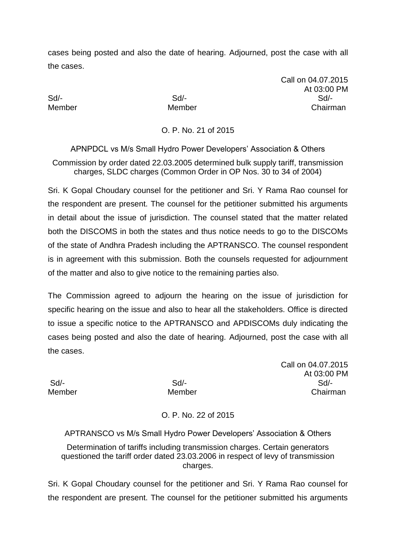Call on 04.07.2015 At 03:00 PM Sd/- Sd/- Sd/- Member Member Chairman

O. P. No. 21 of 2015

APNPDCL vs M/s Small Hydro Power Developers' Association & Others Commission by order dated 22.03.2005 determined bulk supply tariff, transmission charges, SLDC charges (Common Order in OP Nos. 30 to 34 of 2004)

Sri. K Gopal Choudary counsel for the petitioner and Sri. Y Rama Rao counsel for the respondent are present. The counsel for the petitioner submitted his arguments in detail about the issue of jurisdiction. The counsel stated that the matter related both the DISCOMS in both the states and thus notice needs to go to the DISCOMs of the state of Andhra Pradesh including the APTRANSCO. The counsel respondent is in agreement with this submission. Both the counsels requested for adjournment of the matter and also to give notice to the remaining parties also.

The Commission agreed to adjourn the hearing on the issue of jurisdiction for specific hearing on the issue and also to hear all the stakeholders. Office is directed to issue a specific notice to the APTRANSCO and APDISCOMs duly indicating the cases being posted and also the date of hearing. Adjourned, post the case with all the cases.

Call on 04.07.2015 At 03:00 PM Sd/- Sd/- Sd/- Member Member Chairman

O. P. No. 22 of 2015

APTRANSCO vs M/s Small Hydro Power Developers' Association & Others Determination of tariffs including transmission charges. Certain generators questioned the tariff order dated 23.03.2006 in respect of levy of transmission charges.

Sri. K Gopal Choudary counsel for the petitioner and Sri. Y Rama Rao counsel for the respondent are present. The counsel for the petitioner submitted his arguments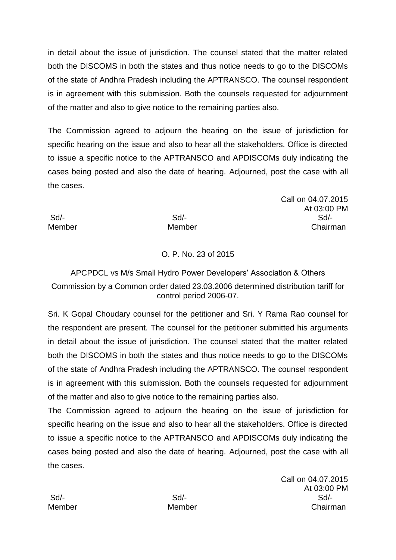in detail about the issue of jurisdiction. The counsel stated that the matter related both the DISCOMS in both the states and thus notice needs to go to the DISCOMs of the state of Andhra Pradesh including the APTRANSCO. The counsel respondent is in agreement with this submission. Both the counsels requested for adjournment of the matter and also to give notice to the remaining parties also.

The Commission agreed to adjourn the hearing on the issue of jurisdiction for specific hearing on the issue and also to hear all the stakeholders. Office is directed to issue a specific notice to the APTRANSCO and APDISCOMs duly indicating the cases being posted and also the date of hearing. Adjourned, post the case with all the cases.

Sd/- Sd/- Sd/- Member Member Chairman

# O. P. No. 23 of 2015

## APCPDCL vs M/s Small Hydro Power Developers' Association & Others Commission by a Common order dated 23.03.2006 determined distribution tariff for control period 2006-07.

Sri. K Gopal Choudary counsel for the petitioner and Sri. Y Rama Rao counsel for the respondent are present. The counsel for the petitioner submitted his arguments in detail about the issue of jurisdiction. The counsel stated that the matter related both the DISCOMS in both the states and thus notice needs to go to the DISCOMs of the state of Andhra Pradesh including the APTRANSCO. The counsel respondent is in agreement with this submission. Both the counsels requested for adjournment of the matter and also to give notice to the remaining parties also.

The Commission agreed to adjourn the hearing on the issue of jurisdiction for specific hearing on the issue and also to hear all the stakeholders. Office is directed to issue a specific notice to the APTRANSCO and APDISCOMs duly indicating the cases being posted and also the date of hearing. Adjourned, post the case with all the cases.

Call on 04.07.2015 At 03:00 PM Sd/- Sd/- Sd/- Member Member Chairman

Call on 04.07.2015

At 03:00 PM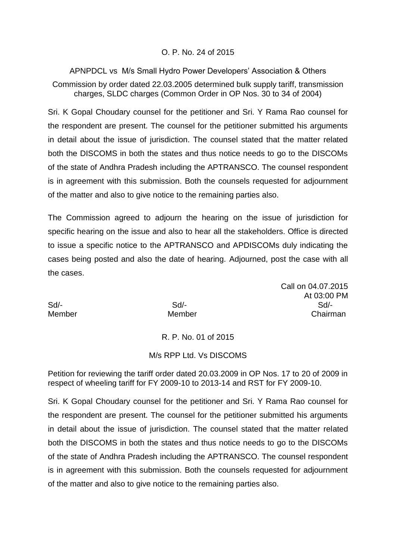## O. P. No. 24 of 2015

APNPDCL vs M/s Small Hydro Power Developers' Association & Others Commission by order dated 22.03.2005 determined bulk supply tariff, transmission charges, SLDC charges (Common Order in OP Nos. 30 to 34 of 2004)

Sri. K Gopal Choudary counsel for the petitioner and Sri. Y Rama Rao counsel for the respondent are present. The counsel for the petitioner submitted his arguments in detail about the issue of jurisdiction. The counsel stated that the matter related both the DISCOMS in both the states and thus notice needs to go to the DISCOMs of the state of Andhra Pradesh including the APTRANSCO. The counsel respondent is in agreement with this submission. Both the counsels requested for adjournment of the matter and also to give notice to the remaining parties also.

The Commission agreed to adjourn the hearing on the issue of jurisdiction for specific hearing on the issue and also to hear all the stakeholders. Office is directed to issue a specific notice to the APTRANSCO and APDISCOMs duly indicating the cases being posted and also the date of hearing. Adjourned, post the case with all the cases.

Call on 04.07.2015 At 03:00 PM Sd/- Sd/- Sd/- Member Member Chairman

## R. P. No. 01 of 2015

#### M/s RPP Ltd. Vs DISCOMS

Petition for reviewing the tariff order dated 20.03.2009 in OP Nos. 17 to 20 of 2009 in respect of wheeling tariff for FY 2009-10 to 2013-14 and RST for FY 2009-10.

Sri. K Gopal Choudary counsel for the petitioner and Sri. Y Rama Rao counsel for the respondent are present. The counsel for the petitioner submitted his arguments in detail about the issue of jurisdiction. The counsel stated that the matter related both the DISCOMS in both the states and thus notice needs to go to the DISCOMs of the state of Andhra Pradesh including the APTRANSCO. The counsel respondent is in agreement with this submission. Both the counsels requested for adjournment of the matter and also to give notice to the remaining parties also.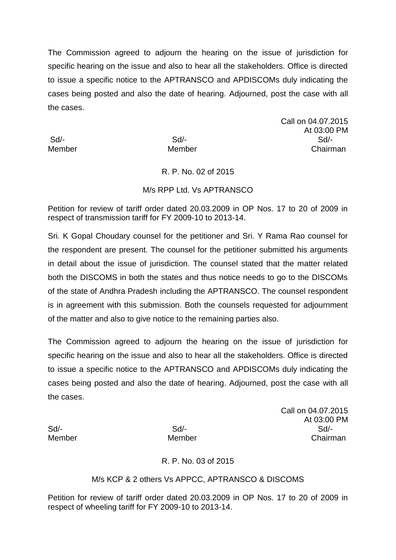The Commission agreed to adjourn the hearing on the issue of jurisdiction for specific hearing on the issue and also to hear all the stakeholders. Office is directed to issue a specific notice to the APTRANSCO and APDISCOMs duly indicating the cases being posted and also the date of hearing. Adjourned, post the case with all the cases.

Call on 04.07.2015 At 03:00 PM Sd/- Sd/- Sd/- Member Member Chairman

## R. P. No. 02 of 2015

#### M/s RPP Ltd. Vs APTRANSCO

Petition for review of tariff order dated 20.03.2009 in OP Nos. 17 to 20 of 2009 in respect of transmission tariff for FY 2009-10 to 2013-14.

Sri. K Gopal Choudary counsel for the petitioner and Sri. Y Rama Rao counsel for the respondent are present. The counsel for the petitioner submitted his arguments in detail about the issue of jurisdiction. The counsel stated that the matter related both the DISCOMS in both the states and thus notice needs to go to the DISCOMs of the state of Andhra Pradesh including the APTRANSCO. The counsel respondent is in agreement with this submission. Both the counsels requested for adjournment of the matter and also to give notice to the remaining parties also.

The Commission agreed to adjourn the hearing on the issue of jurisdiction for specific hearing on the issue and also to hear all the stakeholders. Office is directed to issue a specific notice to the APTRANSCO and APDISCOMs duly indicating the cases being posted and also the date of hearing. Adjourned, post the case with all the cases.

Call on 04.07.2015 At 03:00 PM Sd/- Sd/- Sd/- Member Member Chairman

## R. P. No. 03 of 2015

#### M/s KCP & 2 others Vs APPCC, APTRANSCO & DISCOMS

Petition for review of tariff order dated 20.03.2009 in OP Nos. 17 to 20 of 2009 in respect of wheeling tariff for FY 2009-10 to 2013-14.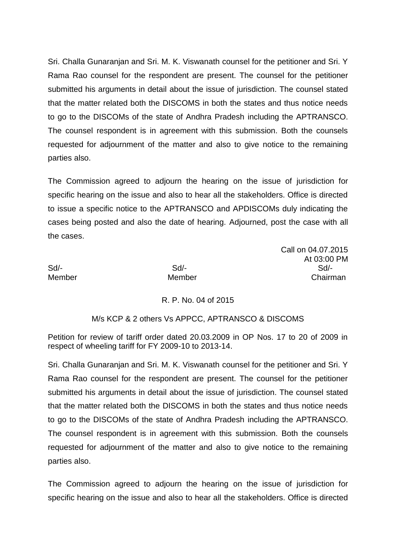Sri. Challa Gunaranjan and Sri. M. K. Viswanath counsel for the petitioner and Sri. Y Rama Rao counsel for the respondent are present. The counsel for the petitioner submitted his arguments in detail about the issue of jurisdiction. The counsel stated that the matter related both the DISCOMS in both the states and thus notice needs to go to the DISCOMs of the state of Andhra Pradesh including the APTRANSCO. The counsel respondent is in agreement with this submission. Both the counsels requested for adjournment of the matter and also to give notice to the remaining parties also.

The Commission agreed to adjourn the hearing on the issue of jurisdiction for specific hearing on the issue and also to hear all the stakeholders. Office is directed to issue a specific notice to the APTRANSCO and APDISCOMs duly indicating the cases being posted and also the date of hearing. Adjourned, post the case with all the cases.

Call on 04.07.2015 At 03:00 PM Sd/- Sd/- Sd/- Member Member Chairman

## R. P. No. 04 of 2015

## M/s KCP & 2 others Vs APPCC, APTRANSCO & DISCOMS

Petition for review of tariff order dated 20.03.2009 in OP Nos. 17 to 20 of 2009 in respect of wheeling tariff for FY 2009-10 to 2013-14.

Sri. Challa Gunaranjan and Sri. M. K. Viswanath counsel for the petitioner and Sri. Y Rama Rao counsel for the respondent are present. The counsel for the petitioner submitted his arguments in detail about the issue of jurisdiction. The counsel stated that the matter related both the DISCOMS in both the states and thus notice needs to go to the DISCOMs of the state of Andhra Pradesh including the APTRANSCO. The counsel respondent is in agreement with this submission. Both the counsels requested for adjournment of the matter and also to give notice to the remaining parties also.

The Commission agreed to adjourn the hearing on the issue of jurisdiction for specific hearing on the issue and also to hear all the stakeholders. Office is directed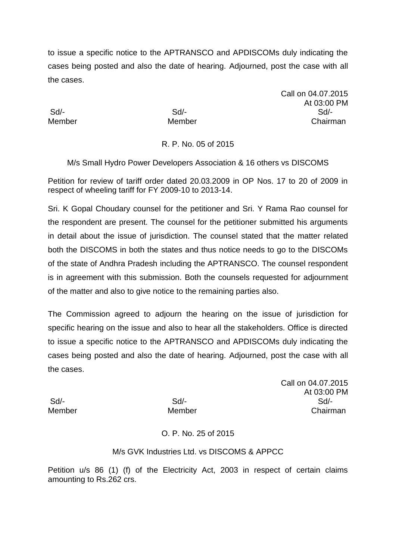to issue a specific notice to the APTRANSCO and APDISCOMs duly indicating the cases being posted and also the date of hearing. Adjourned, post the case with all the cases.

Call on 04.07.2015 At 03:00 PM Sd/- Sd/- Sd/- Member Member Chairman

## R. P. No. 05 of 2015

M/s Small Hydro Power Developers Association & 16 others vs DISCOMS

Petition for review of tariff order dated 20.03.2009 in OP Nos. 17 to 20 of 2009 in respect of wheeling tariff for FY 2009-10 to 2013-14.

Sri. K Gopal Choudary counsel for the petitioner and Sri. Y Rama Rao counsel for the respondent are present. The counsel for the petitioner submitted his arguments in detail about the issue of jurisdiction. The counsel stated that the matter related both the DISCOMS in both the states and thus notice needs to go to the DISCOMs of the state of Andhra Pradesh including the APTRANSCO. The counsel respondent is in agreement with this submission. Both the counsels requested for adjournment of the matter and also to give notice to the remaining parties also.

The Commission agreed to adjourn the hearing on the issue of jurisdiction for specific hearing on the issue and also to hear all the stakeholders. Office is directed to issue a specific notice to the APTRANSCO and APDISCOMs duly indicating the cases being posted and also the date of hearing. Adjourned, post the case with all the cases.

Call on 04.07.2015 At 03:00 PM Sd/- Sd/- Sd/- Member Member Chairman

O. P. No. 25 of 2015

## M/s GVK Industries Ltd. vs DISCOMS & APPCC

Petition u/s 86 (1) (f) of the Electricity Act, 2003 in respect of certain claims amounting to Rs.262 crs.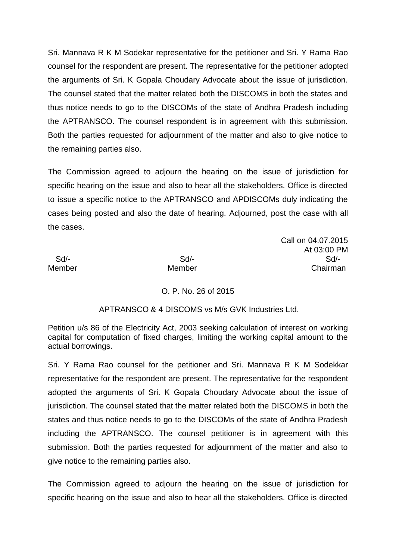Sri. Mannava R K M Sodekar representative for the petitioner and Sri. Y Rama Rao counsel for the respondent are present. The representative for the petitioner adopted the arguments of Sri. K Gopala Choudary Advocate about the issue of jurisdiction. The counsel stated that the matter related both the DISCOMS in both the states and thus notice needs to go to the DISCOMs of the state of Andhra Pradesh including the APTRANSCO. The counsel respondent is in agreement with this submission. Both the parties requested for adjournment of the matter and also to give notice to the remaining parties also.

The Commission agreed to adjourn the hearing on the issue of jurisdiction for specific hearing on the issue and also to hear all the stakeholders. Office is directed to issue a specific notice to the APTRANSCO and APDISCOMs duly indicating the cases being posted and also the date of hearing. Adjourned, post the case with all the cases.

#### Call on 04.07.2015 At 03:00 PM Sd/- Sd/- Sd/- Member Member Chairman

## O. P. No. 26 of 2015

## APTRANSCO & 4 DISCOMS vs M/s GVK Industries Ltd.

Petition u/s 86 of the Electricity Act, 2003 seeking calculation of interest on working capital for computation of fixed charges, limiting the working capital amount to the actual borrowings.

Sri. Y Rama Rao counsel for the petitioner and Sri. Mannava R K M Sodekkar representative for the respondent are present. The representative for the respondent adopted the arguments of Sri. K Gopala Choudary Advocate about the issue of jurisdiction. The counsel stated that the matter related both the DISCOMS in both the states and thus notice needs to go to the DISCOMs of the state of Andhra Pradesh including the APTRANSCO. The counsel petitioner is in agreement with this submission. Both the parties requested for adjournment of the matter and also to give notice to the remaining parties also.

The Commission agreed to adjourn the hearing on the issue of jurisdiction for specific hearing on the issue and also to hear all the stakeholders. Office is directed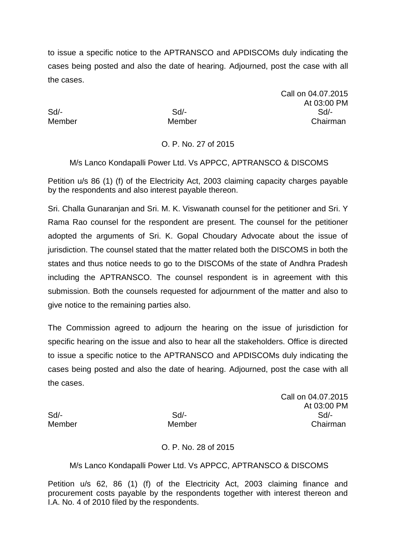to issue a specific notice to the APTRANSCO and APDISCOMs duly indicating the cases being posted and also the date of hearing. Adjourned, post the case with all the cases.

Call on 04.07.2015 At 03:00 PM Sd/- Sd/- Sd/- Member Member Chairman

## O. P. No. 27 of 2015

M/s Lanco Kondapalli Power Ltd. Vs APPCC, APTRANSCO & DISCOMS

Petition u/s 86 (1) (f) of the Electricity Act, 2003 claiming capacity charges payable by the respondents and also interest payable thereon.

Sri. Challa Gunaranjan and Sri. M. K. Viswanath counsel for the petitioner and Sri. Y Rama Rao counsel for the respondent are present. The counsel for the petitioner adopted the arguments of Sri. K. Gopal Choudary Advocate about the issue of jurisdiction. The counsel stated that the matter related both the DISCOMS in both the states and thus notice needs to go to the DISCOMs of the state of Andhra Pradesh including the APTRANSCO. The counsel respondent is in agreement with this submission. Both the counsels requested for adjournment of the matter and also to give notice to the remaining parties also.

The Commission agreed to adjourn the hearing on the issue of jurisdiction for specific hearing on the issue and also to hear all the stakeholders. Office is directed to issue a specific notice to the APTRANSCO and APDISCOMs duly indicating the cases being posted and also the date of hearing. Adjourned, post the case with all the cases.

Call on 04.07.2015 At 03:00 PM Sd/- Sd/- Sd/- Member Member Chairman

## O. P. No. 28 of 2015

## M/s Lanco Kondapalli Power Ltd. Vs APPCC, APTRANSCO & DISCOMS

Petition u/s 62, 86 (1) (f) of the Electricity Act, 2003 claiming finance and procurement costs payable by the respondents together with interest thereon and I.A. No. 4 of 2010 filed by the respondents.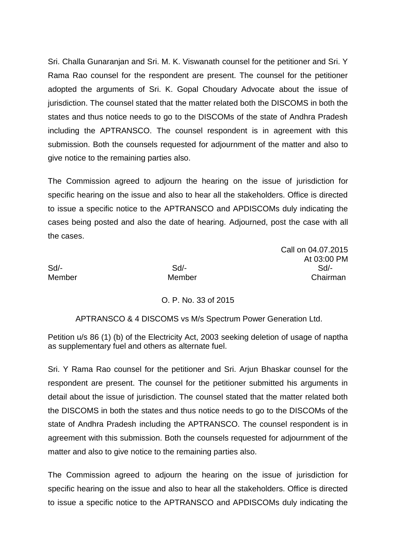Sri. Challa Gunaranjan and Sri. M. K. Viswanath counsel for the petitioner and Sri. Y Rama Rao counsel for the respondent are present. The counsel for the petitioner adopted the arguments of Sri. K. Gopal Choudary Advocate about the issue of jurisdiction. The counsel stated that the matter related both the DISCOMS in both the states and thus notice needs to go to the DISCOMs of the state of Andhra Pradesh including the APTRANSCO. The counsel respondent is in agreement with this submission. Both the counsels requested for adjournment of the matter and also to give notice to the remaining parties also.

The Commission agreed to adjourn the hearing on the issue of jurisdiction for specific hearing on the issue and also to hear all the stakeholders. Office is directed to issue a specific notice to the APTRANSCO and APDISCOMs duly indicating the cases being posted and also the date of hearing. Adjourned, post the case with all the cases.

Call on 04.07.2015 At 03:00 PM Sd/- Sd/- Sd/- Member Member Chairman

## O. P. No. 33 of 2015

APTRANSCO & 4 DISCOMS vs M/s Spectrum Power Generation Ltd.

Petition u/s 86 (1) (b) of the Electricity Act, 2003 seeking deletion of usage of naptha as supplementary fuel and others as alternate fuel.

Sri. Y Rama Rao counsel for the petitioner and Sri. Arjun Bhaskar counsel for the respondent are present. The counsel for the petitioner submitted his arguments in detail about the issue of jurisdiction. The counsel stated that the matter related both the DISCOMS in both the states and thus notice needs to go to the DISCOMs of the state of Andhra Pradesh including the APTRANSCO. The counsel respondent is in agreement with this submission. Both the counsels requested for adjournment of the matter and also to give notice to the remaining parties also.

The Commission agreed to adjourn the hearing on the issue of jurisdiction for specific hearing on the issue and also to hear all the stakeholders. Office is directed to issue a specific notice to the APTRANSCO and APDISCOMs duly indicating the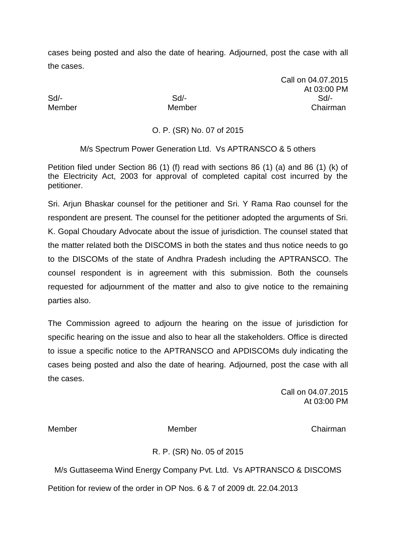Call on 04.07.2015 At 03:00 PM Sd/- Sd/- Sd/- Member Member Chairman

## O. P. (SR) No. 07 of 2015

M/s Spectrum Power Generation Ltd. Vs APTRANSCO & 5 others

Petition filed under Section 86 (1) (f) read with sections 86 (1) (a) and 86 (1) (k) of the Electricity Act, 2003 for approval of completed capital cost incurred by the petitioner.

Sri. Arjun Bhaskar counsel for the petitioner and Sri. Y Rama Rao counsel for the respondent are present. The counsel for the petitioner adopted the arguments of Sri. K. Gopal Choudary Advocate about the issue of jurisdiction. The counsel stated that the matter related both the DISCOMS in both the states and thus notice needs to go to the DISCOMs of the state of Andhra Pradesh including the APTRANSCO. The counsel respondent is in agreement with this submission. Both the counsels requested for adjournment of the matter and also to give notice to the remaining parties also.

The Commission agreed to adjourn the hearing on the issue of jurisdiction for specific hearing on the issue and also to hear all the stakeholders. Office is directed to issue a specific notice to the APTRANSCO and APDISCOMs duly indicating the cases being posted and also the date of hearing. Adjourned, post the case with all the cases.

> Call on 04.07.2015 At 03:00 PM

Member Member Chairman

## R. P. (SR) No. 05 of 2015

M/s Guttaseema Wind Energy Company Pvt. Ltd. Vs APTRANSCO & DISCOMS Petition for review of the order in OP Nos. 6 & 7 of 2009 dt. 22.04.2013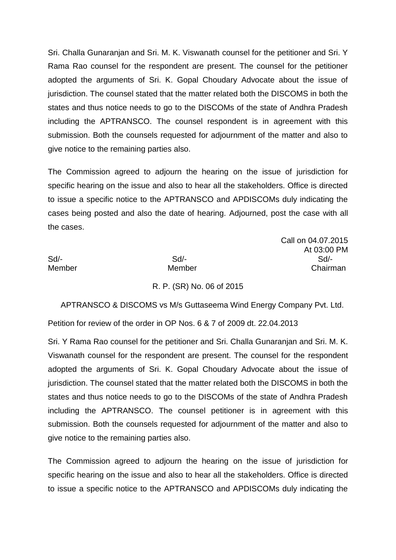Sri. Challa Gunaranjan and Sri. M. K. Viswanath counsel for the petitioner and Sri. Y Rama Rao counsel for the respondent are present. The counsel for the petitioner adopted the arguments of Sri. K. Gopal Choudary Advocate about the issue of jurisdiction. The counsel stated that the matter related both the DISCOMS in both the states and thus notice needs to go to the DISCOMs of the state of Andhra Pradesh including the APTRANSCO. The counsel respondent is in agreement with this submission. Both the counsels requested for adjournment of the matter and also to give notice to the remaining parties also.

The Commission agreed to adjourn the hearing on the issue of jurisdiction for specific hearing on the issue and also to hear all the stakeholders. Office is directed to issue a specific notice to the APTRANSCO and APDISCOMs duly indicating the cases being posted and also the date of hearing. Adjourned, post the case with all the cases.

Call on 04.07.2015

At 03:00 PM

|        |        | At 03:00 PN |
|--------|--------|-------------|
| Sd/-   | Sd     | $Sd$ -      |
| Member | Member | Chairman    |
|        |        |             |

R. P. (SR) No. 06 of 2015

 APTRANSCO & DISCOMS vs M/s Guttaseema Wind Energy Company Pvt. Ltd. Petition for review of the order in OP Nos. 6 & 7 of 2009 dt. 22.04.2013

Sri. Y Rama Rao counsel for the petitioner and Sri. Challa Gunaranjan and Sri. M. K. Viswanath counsel for the respondent are present. The counsel for the respondent adopted the arguments of Sri. K. Gopal Choudary Advocate about the issue of jurisdiction. The counsel stated that the matter related both the DISCOMS in both the states and thus notice needs to go to the DISCOMs of the state of Andhra Pradesh including the APTRANSCO. The counsel petitioner is in agreement with this submission. Both the counsels requested for adjournment of the matter and also to give notice to the remaining parties also.

The Commission agreed to adjourn the hearing on the issue of jurisdiction for specific hearing on the issue and also to hear all the stakeholders. Office is directed to issue a specific notice to the APTRANSCO and APDISCOMs duly indicating the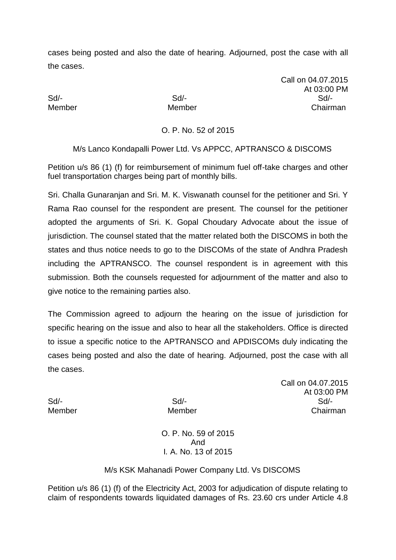Call on 04.07.2015 At 03:00 PM Sd/- Sd/- Sd/- Member Member Chairman

## O. P. No. 52 of 2015

M/s Lanco Kondapalli Power Ltd. Vs APPCC, APTRANSCO & DISCOMS

Petition u/s 86 (1) (f) for reimbursement of minimum fuel off-take charges and other fuel transportation charges being part of monthly bills.

Sri. Challa Gunaranjan and Sri. M. K. Viswanath counsel for the petitioner and Sri. Y Rama Rao counsel for the respondent are present. The counsel for the petitioner adopted the arguments of Sri. K. Gopal Choudary Advocate about the issue of jurisdiction. The counsel stated that the matter related both the DISCOMS in both the states and thus notice needs to go to the DISCOMs of the state of Andhra Pradesh including the APTRANSCO. The counsel respondent is in agreement with this submission. Both the counsels requested for adjournment of the matter and also to give notice to the remaining parties also.

The Commission agreed to adjourn the hearing on the issue of jurisdiction for specific hearing on the issue and also to hear all the stakeholders. Office is directed to issue a specific notice to the APTRANSCO and APDISCOMs duly indicating the cases being posted and also the date of hearing. Adjourned, post the case with all the cases.

Call on 04.07.2015 At 03:00 PM Sd/- Sd/- Sd/- Member Member Chairman

> O. P. No. 59 of 2015 And I*.* A. No. 13 of 2015

## M/s KSK Mahanadi Power Company Ltd. Vs DISCOMS

Petition u/s 86 (1) (f) of the Electricity Act, 2003 for adjudication of dispute relating to claim of respondents towards liquidated damages of Rs. 23.60 crs under Article 4.8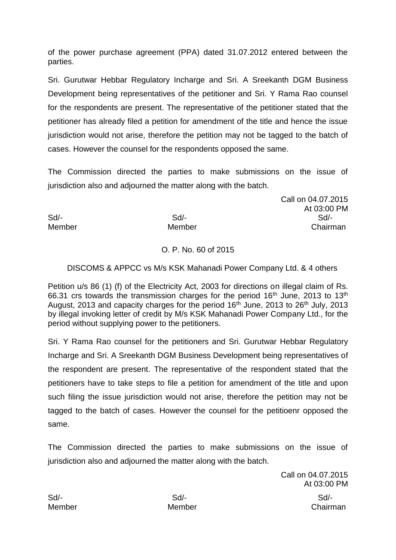of the power purchase agreement (PPA) dated 31.07.2012 entered between the parties.

Sri. Gurutwar Hebbar Regulatory Incharge and Sri. A Sreekanth DGM Business Development being representatives of the petitioner and Sri. Y Rama Rao counsel for the respondents are present. The representative of the petitioner stated that the petitioner has already filed a petition for amendment of the title and hence the issue jurisdiction would not arise, therefore the petition may not be tagged to the batch of cases. However the counsel for the respondents opposed the same.

The Commission directed the parties to make submissions on the issue of jurisdiction also and adjourned the matter along with the batch.

Sd/- Sd/- Sd/- Member Member Chairman

# O. P. No. 60 of 2015

## DISCOMS & APPCC vs M/s KSK Mahanadi Power Company Ltd. & 4 others

Petition u/s 86 (1) (f) of the Electricity Act, 2003 for directions on illegal claim of Rs. 66.31 crs towards the transmission charges for the period  $16<sup>th</sup>$  June, 2013 to  $13<sup>th</sup>$ August, 2013 and capacity charges for the period  $16<sup>th</sup>$  June, 2013 to 26<sup>th</sup> July, 2013 by illegal invoking letter of credit by M/s KSK Mahanadi Power Company Ltd., for the period without supplying power to the petitioners.

Sri. Y Rama Rao counsel for the petitioners and Sri. Gurutwar Hebbar Regulatory Incharge and Sri. A Sreekanth DGM Business Development being representatives of the respondent are present. The representative of the respondent stated that the petitioners have to take steps to file a petition for amendment of the title and upon such filing the issue jurisdiction would not arise, therefore the petition may not be tagged to the batch of cases. However the counsel for the petitioenr opposed the same.

The Commission directed the parties to make submissions on the issue of jurisdiction also and adjourned the matter along with the batch.

> Call on 04.07.2015 At 03:00 PM

Call on 04.07.2015

At 03:00 PM

Sd/- Sd/- Sd/-

Member Member Chairman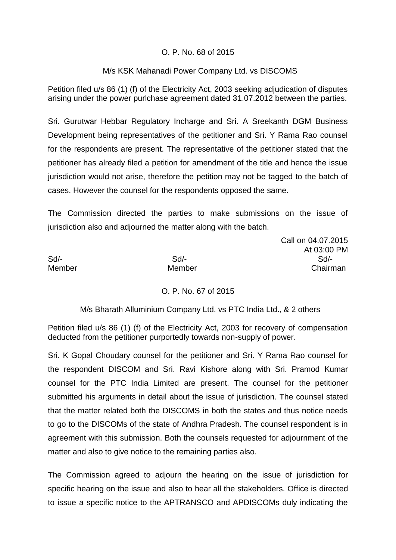## O. P. No. 68 of 2015

## M/s KSK Mahanadi Power Company Ltd. vs DISCOMS

Petition filed u/s 86 (1) (f) of the Electricity Act, 2003 seeking adjudication of disputes arising under the power purlchase agreement dated 31.07.2012 between the parties.

Sri. Gurutwar Hebbar Regulatory Incharge and Sri. A Sreekanth DGM Business Development being representatives of the petitioner and Sri. Y Rama Rao counsel for the respondents are present. The representative of the petitioner stated that the petitioner has already filed a petition for amendment of the title and hence the issue jurisdiction would not arise, therefore the petition may not be tagged to the batch of cases. However the counsel for the respondents opposed the same.

The Commission directed the parties to make submissions on the issue of jurisdiction also and adjourned the matter along with the batch.

Sd/- Sd/- Sd/- Member Member Chairman

Call on 04.07.2015 At 03:00 PM

O. P. No. 67 of 2015

M/s Bharath Alluminium Company Ltd. vs PTC India Ltd., & 2 others

Petition filed u/s 86 (1) (f) of the Electricity Act, 2003 for recovery of compensation deducted from the petitioner purportedly towards non-supply of power.

Sri. K Gopal Choudary counsel for the petitioner and Sri. Y Rama Rao counsel for the respondent DISCOM and Sri. Ravi Kishore along with Sri. Pramod Kumar counsel for the PTC India Limited are present. The counsel for the petitioner submitted his arguments in detail about the issue of jurisdiction. The counsel stated that the matter related both the DISCOMS in both the states and thus notice needs to go to the DISCOMs of the state of Andhra Pradesh. The counsel respondent is in agreement with this submission. Both the counsels requested for adjournment of the matter and also to give notice to the remaining parties also.

The Commission agreed to adjourn the hearing on the issue of jurisdiction for specific hearing on the issue and also to hear all the stakeholders. Office is directed to issue a specific notice to the APTRANSCO and APDISCOMs duly indicating the